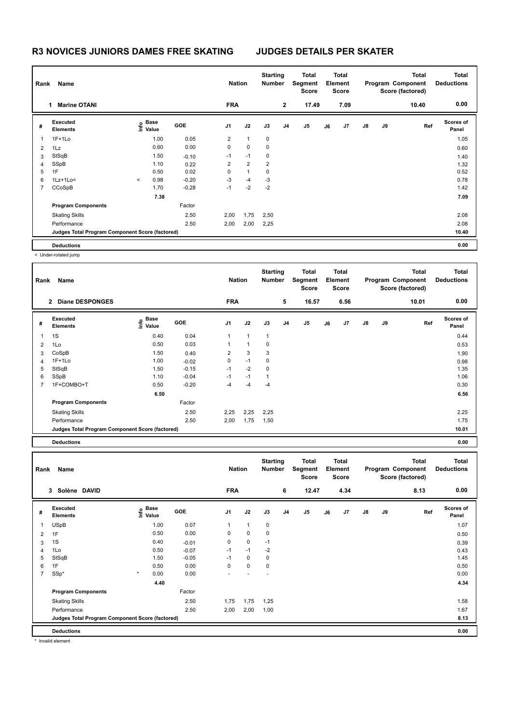## **R3 NOVICES JUNIORS DAMES FREE SKATING JUDGES DETAILS PER SKATER**

| Name<br>Rank   |                                                 |         |                           |         |                | <b>Nation</b>  |      | <b>Starting</b><br><b>Number</b> | <b>Total</b><br>Segment<br><b>Score</b> | <b>Total</b><br>Element<br><b>Score</b> |      |               |    | <b>Total</b><br>Program Component<br>Score (factored) | <b>Total</b><br><b>Deductions</b> |
|----------------|-------------------------------------------------|---------|---------------------------|---------|----------------|----------------|------|----------------------------------|-----------------------------------------|-----------------------------------------|------|---------------|----|-------------------------------------------------------|-----------------------------------|
|                | <b>Marine OTANI</b>                             |         |                           |         | <b>FRA</b>     |                |      | $\overline{2}$                   | 17.49                                   |                                         | 7.09 |               |    | 10.40                                                 | 0.00                              |
| #              | Executed<br><b>Elements</b>                     |         | Base<br>e Base<br>⊆ Value | GOE     | J1             | J2             | J3   | J <sub>4</sub>                   | J <sub>5</sub>                          | J6                                      | J7   | $\mathsf{J}8$ | J9 | Ref                                                   | Scores of<br>Panel                |
| 1              | $1F+1Lo$                                        |         | 1.00                      | 0.05    | $\overline{2}$ | $\mathbf{1}$   | 0    |                                  |                                         |                                         |      |               |    |                                                       | 1.05                              |
| $\overline{2}$ | 1Lz                                             |         | 0.60                      | 0.00    | 0              | 0              | 0    |                                  |                                         |                                         |      |               |    |                                                       | 0.60                              |
| 3              | StSqB                                           |         | 1.50                      | $-0.10$ | $-1$           | $-1$           | 0    |                                  |                                         |                                         |      |               |    |                                                       | 1.40                              |
| 4              | SSpB                                            |         | 1.10                      | 0.22    | $\overline{2}$ | $\overline{2}$ | 2    |                                  |                                         |                                         |      |               |    |                                                       | 1.32                              |
| 5              | 1F                                              |         | 0.50                      | 0.02    | 0              | $\mathbf{1}$   | 0    |                                  |                                         |                                         |      |               |    |                                                       | 0.52                              |
| 6              | $1Lz+1Lo<$                                      | $\prec$ | 0.98                      | $-0.20$ | $-3$           | $-4$           | $-3$ |                                  |                                         |                                         |      |               |    |                                                       | 0.78                              |
| 7              | CCoSpB                                          |         | 1.70                      | $-0.28$ | $-1$           | $-2$           | $-2$ |                                  |                                         |                                         |      |               |    |                                                       | 1.42                              |
|                |                                                 |         | 7.38                      |         |                |                |      |                                  |                                         |                                         |      |               |    |                                                       | 7.09                              |
|                | <b>Program Components</b>                       |         |                           | Factor  |                |                |      |                                  |                                         |                                         |      |               |    |                                                       |                                   |
|                | <b>Skating Skills</b>                           |         |                           | 2.50    | 2,00           | 1,75           | 2,50 |                                  |                                         |                                         |      |               |    |                                                       | 2.08                              |
|                | Performance                                     |         |                           | 2.50    | 2,00           | 2,00           | 2,25 |                                  |                                         |                                         |      |               |    |                                                       | 2.08                              |
|                | Judges Total Program Component Score (factored) |         |                           |         |                |                |      |                                  |                                         |                                         |      |               |    |                                                       | 10.40                             |
|                | <b>Deductions</b>                               |         |                           |         |                |                |      |                                  |                                         |                                         |      |               |    |                                                       | 0.00                              |

< Under-rotated jump

| Rank | Name                                            |                                    |         | <b>Nation</b>  |              | <b>Starting</b><br><b>Number</b> |                | <b>Total</b><br>Segment<br><b>Score</b> |    | <b>Total</b><br>Element<br><b>Score</b> |               |    | <b>Total</b><br>Program Component<br>Score (factored) | <b>Total</b><br><b>Deductions</b> |
|------|-------------------------------------------------|------------------------------------|---------|----------------|--------------|----------------------------------|----------------|-----------------------------------------|----|-----------------------------------------|---------------|----|-------------------------------------------------------|-----------------------------------|
|      | <b>Diane DESPONGES</b><br>$\overline{2}$        |                                    |         | <b>FRA</b>     |              |                                  | 5              | 16.57                                   |    | 6.56                                    |               |    | 10.01                                                 | 0.00                              |
| #    | Executed<br><b>Elements</b>                     | <b>Base</b><br>$\frac{6}{5}$ Value | GOE     | J <sub>1</sub> | J2           | J3                               | J <sub>4</sub> | J <sub>5</sub>                          | J6 | J7                                      | $\mathsf{J}8$ | J9 | Ref                                                   | <b>Scores of</b><br>Panel         |
| 1    | 1S                                              | 0.40                               | 0.04    | 1              | $\mathbf{1}$ | $\mathbf{1}$                     |                |                                         |    |                                         |               |    |                                                       | 0.44                              |
| 2    | 1Lo                                             | 0.50                               | 0.03    |                | 1            | 0                                |                |                                         |    |                                         |               |    |                                                       | 0.53                              |
| 3    | CoSpB                                           | 1.50                               | 0.40    | 2              | 3            | 3                                |                |                                         |    |                                         |               |    |                                                       | 1.90                              |
| 4    | $1F+1Lo$                                        | 1.00                               | $-0.02$ | 0              | $-1$         | 0                                |                |                                         |    |                                         |               |    |                                                       | 0.98                              |
| 5    | StSqB                                           | 1.50                               | $-0.15$ | $-1$           | $-2$         | 0                                |                |                                         |    |                                         |               |    |                                                       | 1.35                              |
| 6    | SSpB                                            | 1.10                               | $-0.04$ | $-1$           | $-1$         | 1                                |                |                                         |    |                                         |               |    |                                                       | 1.06                              |
| 7    | 1F+COMBO+T                                      | 0.50                               | $-0.20$ | $-4$           | $-4$         | $-4$                             |                |                                         |    |                                         |               |    |                                                       | 0.30                              |
|      |                                                 | 6.50                               |         |                |              |                                  |                |                                         |    |                                         |               |    |                                                       | 6.56                              |
|      | <b>Program Components</b>                       |                                    | Factor  |                |              |                                  |                |                                         |    |                                         |               |    |                                                       |                                   |
|      | <b>Skating Skills</b>                           |                                    | 2.50    | 2,25           | 2,25         | 2,25                             |                |                                         |    |                                         |               |    |                                                       | 2.25                              |
|      | Performance                                     |                                    | 2.50    | 2,00           | 1,75         | 1,50                             |                |                                         |    |                                         |               |    |                                                       | 1.75                              |
|      | Judges Total Program Component Score (factored) |                                    |         |                |              |                                  |                |                                         |    |                                         |               |    |                                                       | 10.01                             |
|      |                                                 |                                    |         |                |              |                                  |                |                                         |    |                                         |               |    |                                                       |                                   |

**Deductions 0.00**

| Rank           | Name                                            |                                  |            | <b>Nation</b>  |              | <b>Starting</b><br><b>Number</b> |                | <b>Total</b><br>Segment<br><b>Score</b> |    | Total<br>Element<br>Score |               |    | <b>Total</b><br>Program Component<br>Score (factored) | <b>Total</b><br><b>Deductions</b> |
|----------------|-------------------------------------------------|----------------------------------|------------|----------------|--------------|----------------------------------|----------------|-----------------------------------------|----|---------------------------|---------------|----|-------------------------------------------------------|-----------------------------------|
|                | Solène DAVID<br>3                               |                                  |            | <b>FRA</b>     |              |                                  | 6              | 12.47                                   |    | 4.34                      |               |    | 8.13                                                  | 0.00                              |
| #              | Executed<br><b>Elements</b>                     | <b>Base</b><br>e Base<br>E Value | <b>GOE</b> | J <sub>1</sub> | J2           | J3                               | J <sub>4</sub> | J <sub>5</sub>                          | J6 | J7                        | $\mathsf{J}8$ | J9 | Ref                                                   | <b>Scores of</b><br>Panel         |
| 1              | <b>USpB</b>                                     | 1.00                             | 0.07       | 1              | $\mathbf{1}$ | $\mathbf 0$                      |                |                                         |    |                           |               |    |                                                       | 1.07                              |
| $\overline{2}$ | 1F                                              | 0.50                             | 0.00       | 0              | 0            | 0                                |                |                                         |    |                           |               |    |                                                       | 0.50                              |
| 3              | 1S                                              | 0.40                             | $-0.01$    | 0              | $\mathbf 0$  | $-1$                             |                |                                         |    |                           |               |    |                                                       | 0.39                              |
| $\overline{4}$ | 1Lo                                             | 0.50                             | $-0.07$    | $-1$           | $-1$         | $-2$                             |                |                                         |    |                           |               |    |                                                       | 0.43                              |
| 5              | StSqB                                           | 1.50                             | $-0.05$    | $-1$           | 0            | 0                                |                |                                         |    |                           |               |    |                                                       | 1.45                              |
| 6              | 1F                                              | 0.50                             | 0.00       | 0              | $\mathbf 0$  | $\mathbf 0$                      |                |                                         |    |                           |               |    |                                                       | 0.50                              |
| 7              | SSp*                                            | $\star$<br>0.00                  | 0.00       |                |              |                                  |                |                                         |    |                           |               |    |                                                       | 0.00                              |
|                |                                                 | 4.40                             |            |                |              |                                  |                |                                         |    |                           |               |    |                                                       | 4.34                              |
|                | <b>Program Components</b>                       |                                  | Factor     |                |              |                                  |                |                                         |    |                           |               |    |                                                       |                                   |
|                | <b>Skating Skills</b>                           |                                  | 2.50       | 1,75           | 1,75         | 1,25                             |                |                                         |    |                           |               |    |                                                       | 1.58                              |
|                | Performance                                     |                                  | 2.50       | 2,00           | 2,00         | 1,00                             |                |                                         |    |                           |               |    |                                                       | 1.67                              |
|                | Judges Total Program Component Score (factored) |                                  |            |                |              |                                  |                |                                         |    |                           |               |    |                                                       | 8.13                              |
|                | <b>Deductions</b>                               |                                  |            |                |              |                                  |                |                                         |    |                           |               |    |                                                       | 0.00                              |

\* Invalid element